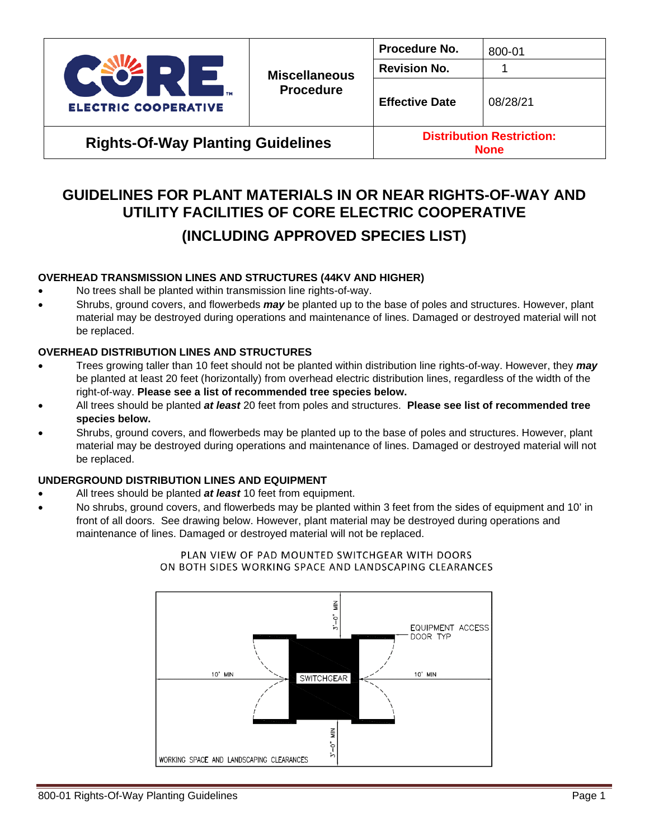

**Rights-Of-Way Planting Guidelines Distribution Restriction:**

**None**

# **GUIDELINES FOR PLANT MATERIALS IN OR NEAR RIGHTS-OF-WAY AND UTILITY FACILITIES OF CORE ELECTRIC COOPERATIVE**

# **(INCLUDING APPROVED SPECIES LIST)**

## **OVERHEAD TRANSMISSION LINES AND STRUCTURES (44KV AND HIGHER)**

- No trees shall be planted within transmission line rights-of-way.
- Shrubs, ground covers, and flowerbeds *may* be planted up to the base of poles and structures. However, plant material may be destroyed during operations and maintenance of lines. Damaged or destroyed material will not be replaced.

## **OVERHEAD DISTRIBUTION LINES AND STRUCTURES**

- Trees growing taller than 10 feet should not be planted within distribution line rights-of-way. However, they *may* be planted at least 20 feet (horizontally) from overhead electric distribution lines, regardless of the width of the right-of-way. **Please see a list of recommended tree species below.**
- All trees should be planted *at least* 20 feet from poles and structures. **Please see list of recommended tree species below.**
- Shrubs, ground covers, and flowerbeds may be planted up to the base of poles and structures. However, plant material may be destroyed during operations and maintenance of lines. Damaged or destroyed material will not be replaced.

## **UNDERGROUND DISTRIBUTION LINES AND EQUIPMENT**

- All trees should be planted *at least* 10 feet from equipment.
- No shrubs, ground covers, and flowerbeds may be planted within 3 feet from the sides of equipment and 10' in front of all doors. See drawing below. However, plant material may be destroyed during operations and maintenance of lines. Damaged or destroyed material will not be replaced.



#### PLAN VIEW OF PAD MOUNTED SWITCHGEAR WITH DOORS ON BOTH SIDES WORKING SPACE AND LANDSCAPING CLEARANCES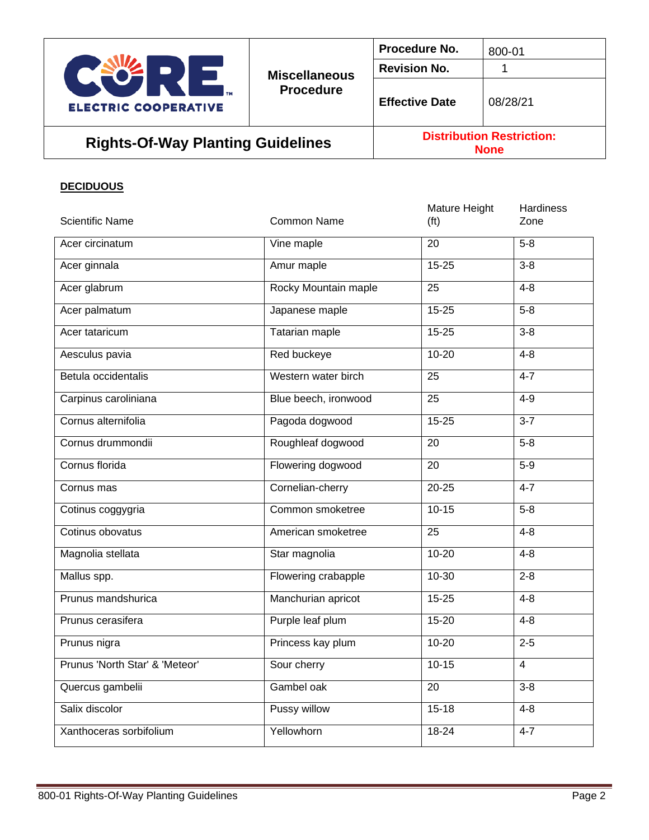

# Rights-Of-Way Planting Guidelines **Distribution Restriction:**

**None**

#### **DECIDUOUS**

| <b>Scientific Name</b>         | <b>Common Name</b>    | Mature Height<br>(f <sup>t</sup> ) | <b>Hardiness</b><br>Zone |
|--------------------------------|-----------------------|------------------------------------|--------------------------|
| Acer circinatum                | Vine maple            | 20                                 | $5-8$                    |
| Acer ginnala                   | Amur maple            | $15 - 25$                          | $3-8$                    |
| Acer glabrum                   | Rocky Mountain maple  | 25                                 | $4 - 8$                  |
| Acer palmatum                  | Japanese maple        | $15 - 25$                          | $5-8$                    |
| Acer tataricum                 | <b>Tatarian maple</b> | $15 - 25$                          | $3-8$                    |
| Aesculus pavia                 | Red buckeye           | $10 - 20$                          | $4 - 8$                  |
| Betula occidentalis            | Western water birch   | 25                                 | $4 - 7$                  |
| Carpinus caroliniana           | Blue beech, ironwood  | 25                                 | $4 - 9$                  |
| Cornus alternifolia            | Pagoda dogwood        | $15 - 25$                          | $3 - 7$                  |
| Cornus drummondii              | Roughleaf dogwood     | $\overline{20}$                    | $5 - 8$                  |
| Cornus florida                 | Flowering dogwood     | 20                                 | $5-9$                    |
| Cornus mas                     | Cornelian-cherry      | $20 - 25$                          | $4 - 7$                  |
| Cotinus coggygria              | Common smoketree      | $10-15$                            | $5-8$                    |
| Cotinus obovatus               | American smoketree    | 25                                 | $4 - 8$                  |
| Magnolia stellata              | Star magnolia         | $10 - 20$                          | $4 - 8$                  |
| Mallus spp.                    | Flowering crabapple   | 10-30                              | $2 - 8$                  |
| Prunus mandshurica             | Manchurian apricot    | $15 - 25$                          | $4 - 8$                  |
| Prunus cerasifera              | Purple leaf plum      | $15 - 20$                          | $4 - 8$                  |
| Prunus nigra                   | Princess kay plum     | $10 - 20$                          | $2 - 5$                  |
| Prunus 'North Star' & 'Meteor' | Sour cherry           | $10 - 15$                          | $\overline{4}$           |
| Quercus gambelii               | Gambel oak            | $\overline{20}$                    | $3 - 8$                  |
| Salix discolor                 | Pussy willow          | $15 - 18$                          | $4 - 8$                  |
| Xanthoceras sorbifolium        | Yellowhorn            | 18-24                              | $4 - 7$                  |